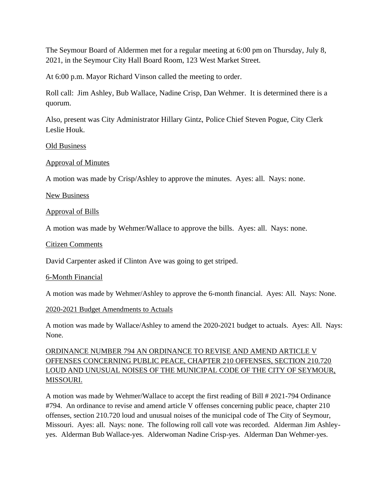The Seymour Board of Aldermen met for a regular meeting at 6:00 pm on Thursday, July 8, 2021, in the Seymour City Hall Board Room, 123 West Market Street.

At 6:00 p.m. Mayor Richard Vinson called the meeting to order.

Roll call: Jim Ashley, Bub Wallace, Nadine Crisp, Dan Wehmer. It is determined there is a quorum.

Also, present was City Administrator Hillary Gintz, Police Chief Steven Pogue, City Clerk Leslie Houk.

### Old Business

### Approval of Minutes

A motion was made by Crisp/Ashley to approve the minutes. Ayes: all. Nays: none.

### New Business

### Approval of Bills

A motion was made by Wehmer/Wallace to approve the bills. Ayes: all. Nays: none.

Citizen Comments

David Carpenter asked if Clinton Ave was going to get striped.

#### 6-Month Financial

A motion was made by Wehmer/Ashley to approve the 6-month financial. Ayes: All. Nays: None.

#### 2020-2021 Budget Amendments to Actuals

A motion was made by Wallace/Ashley to amend the 2020-2021 budget to actuals. Ayes: All. Nays: None.

# ORDINANCE NUMBER 794 AN ORDINANCE TO REVISE AND AMEND ARTICLE V OFFENSES CONCERNING PUBLIC PEACE, CHAPTER 210 OFFENSES, SECTION 210.720 LOUD AND UNUSUAL NOISES OF THE MUNICIPAL CODE OF THE CITY OF SEYMOUR, MISSOURI.

A motion was made by Wehmer/Wallace to accept the first reading of Bill # 2021-794 Ordinance #794. An ordinance to revise and amend article V offenses concerning public peace, chapter 210 offenses, section 210.720 loud and unusual noises of the municipal code of The City of Seymour, Missouri. Ayes: all. Nays: none. The following roll call vote was recorded. Alderman Jim Ashleyyes. Alderman Bub Wallace-yes. Alderwoman Nadine Crisp-yes. Alderman Dan Wehmer-yes.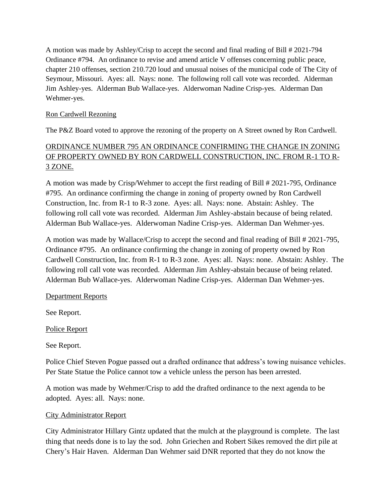A motion was made by Ashley/Crisp to accept the second and final reading of Bill # 2021-794 Ordinance #794. An ordinance to revise and amend article V offenses concerning public peace, chapter 210 offenses, section 210.720 loud and unusual noises of the municipal code of The City of Seymour, Missouri. Ayes: all. Nays: none. The following roll call vote was recorded. Alderman Jim Ashley-yes. Alderman Bub Wallace-yes. Alderwoman Nadine Crisp-yes. Alderman Dan Wehmer-yes.

### Ron Cardwell Rezoning

The P&Z Board voted to approve the rezoning of the property on A Street owned by Ron Cardwell.

# ORDINANCE NUMBER 795 AN ORDINANCE CONFIRMING THE CHANGE IN ZONING OF PROPERTY OWNED BY RON CARDWELL CONSTRUCTION, INC. FROM R-1 TO R-3 ZONE.

A motion was made by Crisp/Wehmer to accept the first reading of Bill # 2021-795, Ordinance #795. An ordinance confirming the change in zoning of property owned by Ron Cardwell Construction, Inc. from R-1 to R-3 zone. Ayes: all. Nays: none. Abstain: Ashley. The following roll call vote was recorded. Alderman Jim Ashley-abstain because of being related. Alderman Bub Wallace-yes. Alderwoman Nadine Crisp-yes. Alderman Dan Wehmer-yes.

A motion was made by Wallace/Crisp to accept the second and final reading of Bill # 2021-795, Ordinance #795. An ordinance confirming the change in zoning of property owned by Ron Cardwell Construction, Inc. from R-1 to R-3 zone. Ayes: all. Nays: none. Abstain: Ashley. The following roll call vote was recorded. Alderman Jim Ashley-abstain because of being related. Alderman Bub Wallace-yes. Alderwoman Nadine Crisp-yes. Alderman Dan Wehmer-yes.

### Department Reports

See Report.

Police Report

See Report.

Police Chief Steven Pogue passed out a drafted ordinance that address's towing nuisance vehicles. Per State Statue the Police cannot tow a vehicle unless the person has been arrested.

A motion was made by Wehmer/Crisp to add the drafted ordinance to the next agenda to be adopted. Ayes: all. Nays: none.

### City Administrator Report

City Administrator Hillary Gintz updated that the mulch at the playground is complete. The last thing that needs done is to lay the sod. John Griechen and Robert Sikes removed the dirt pile at Chery's Hair Haven. Alderman Dan Wehmer said DNR reported that they do not know the